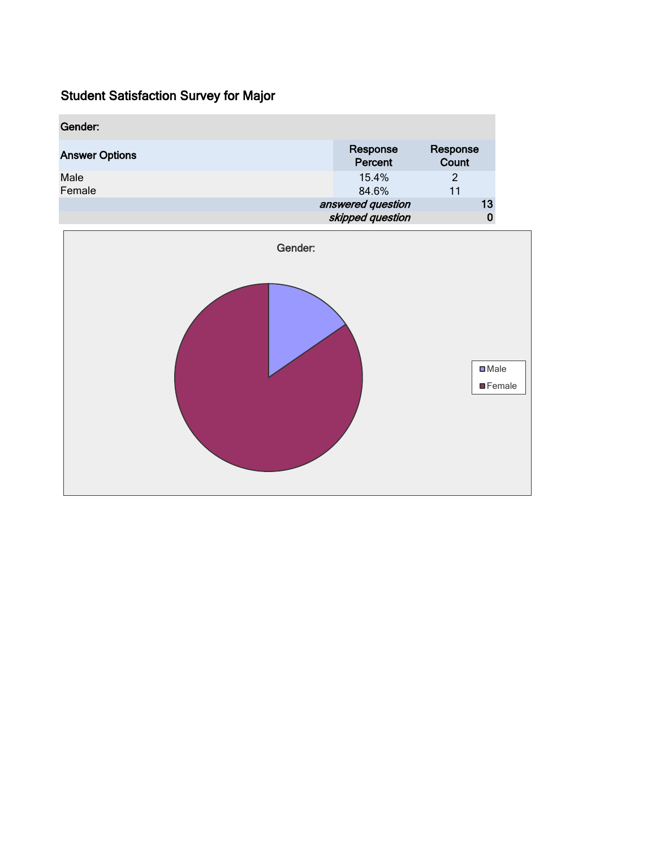| Gender:               |                     |                   |
|-----------------------|---------------------|-------------------|
| <b>Answer Options</b> | Response<br>Percent | Response<br>Count |
| Male<br>Female        | 15.4%<br>84.6%      | 2<br>11           |
|                       | answered question   | 13                |
|                       | skipped question    |                   |

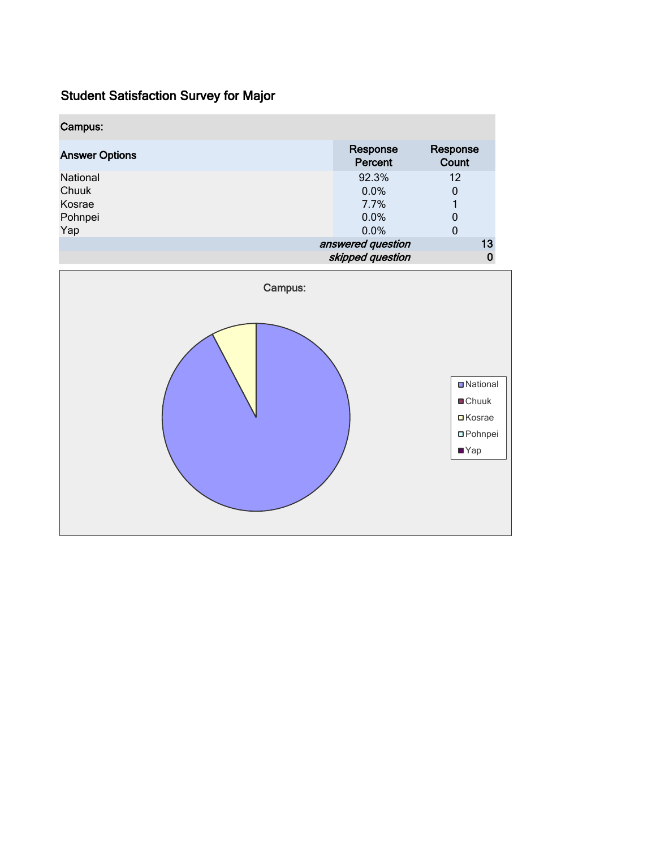| Campus:               |                     |                   |
|-----------------------|---------------------|-------------------|
| <b>Answer Options</b> | Response<br>Percent | Response<br>Count |
| <b>National</b>       | 92.3%               | 12                |
| Chuuk                 | 0.0%                | 0                 |
| Kosrae                | 7.7%                |                   |
| Pohnpei               | 0.0%                | 0                 |
| Yap                   | 0.0%                | 0                 |
|                       | answered question   | 13                |
|                       | skipped question    |                   |

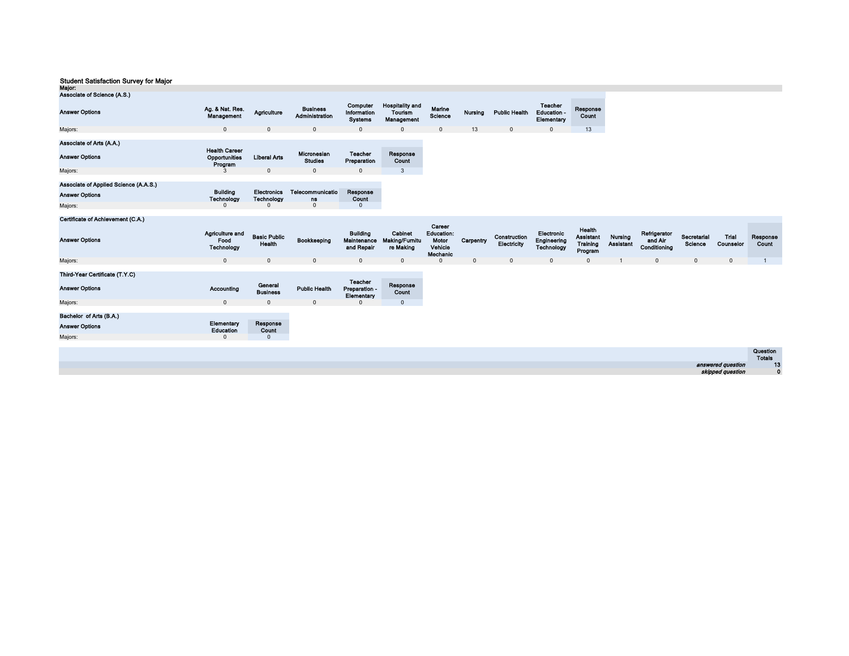| <b>PERCEPTION</b><br>Associate of Science (A.S.)  |                                                  |                                  |                                          |                                           |                                                 |                   |         |                      |                                             |                   |
|---------------------------------------------------|--------------------------------------------------|----------------------------------|------------------------------------------|-------------------------------------------|-------------------------------------------------|-------------------|---------|----------------------|---------------------------------------------|-------------------|
| <b>Answer Options</b>                             | Ag. & Nat. Res.<br>Management                    | Agriculture                      | <b>Business</b><br><b>Administration</b> | Computer<br>Information<br><b>Systems</b> | <b>Hospitality and</b><br>Tourism<br>Management | Marine<br>Science | Nursing | <b>Public Health</b> | Teacher<br><b>Education -</b><br>Elementary | Response<br>Count |
| Majors:                                           | $\mathbf{0}$                                     | $\mathbf 0$                      | $\mathbf 0$                              | $\mathbf{0}$                              | $\mathbf{0}$                                    | $\mathbf{0}$      | 13      | $\mathbf 0$          | 0                                           |                   |
| Associate of Arts (A.A.)<br><b>Answer Options</b> | <b>Health Career</b><br>Opportunities<br>Program | <b>Liberal Arts</b>              | Micronesian<br><b>Studies</b>            | <b>Teacher</b><br>Preparation             | Response<br>Count                               |                   |         |                      |                                             |                   |
| Majors:                                           |                                                  | 0                                | $\mathbf 0$                              | 0                                         | 3                                               |                   |         |                      |                                             |                   |
| Associate of Applied Science (A.A.S.)             |                                                  |                                  |                                          |                                           |                                                 |                   |         |                      |                                             |                   |
| <b>Answer Options</b>                             | <b>Building</b><br>Technology                    | <b>Electronics</b><br>Technology | Telecommunicatio<br>ns                   | Response<br>Count                         |                                                 |                   |         |                      |                                             |                   |
| Majors:                                           | 0                                                | 0                                | $\mathbf{0}$                             | 0                                         |                                                 |                   |         |                      |                                             |                   |

#### Certificate of Achievement (C.A.)

| <b>Answer Options</b>                            | <b>Agriculture and</b><br>Food<br>Technology | <b>Basic Public</b><br>Health | Bookkeeping          | <b>Building</b><br>Maintenance<br>and Repair  | Cabinet<br><b>Making/Furnitu</b><br>re Making | Career<br><b>Education:</b><br>Motor<br>Vehicle<br>Mechanic | Carpentry    | Construction<br>Electricity | Electronic<br>Engineering<br>Technology | Health<br><b>Assistant</b><br><b>Training</b><br>Program | Nursing<br><b>Assistant</b> | Refrigerator<br>and Air<br>Conditioning | Secretarial<br>Science | Trial<br>Counselor                    | Response<br>Count         |
|--------------------------------------------------|----------------------------------------------|-------------------------------|----------------------|-----------------------------------------------|-----------------------------------------------|-------------------------------------------------------------|--------------|-----------------------------|-----------------------------------------|----------------------------------------------------------|-----------------------------|-----------------------------------------|------------------------|---------------------------------------|---------------------------|
| Majors:                                          | $\mathbf{0}$                                 | $\mathbf{0}$                  | $\mathbf 0$          | $\mathbf 0$                                   | $\mathbf{0}$                                  | $\Omega$                                                    | $\mathbf{0}$ | $\mathbf{0}$                |                                         | $\mathbf{0}$                                             |                             | $\mathbf{0}$                            | $\mathbf{0}$           | $\mathbf 0$                           |                           |
| Third-Year Certificate (T.Y.C)                   |                                              |                               |                      |                                               |                                               |                                                             |              |                             |                                         |                                                          |                             |                                         |                        |                                       |                           |
| <b>Answer Options</b>                            | Accounting                                   | General<br><b>Business</b>    | <b>Public Health</b> | <b>Teacher</b><br>Preparation -<br>Elementary | Response<br>Count                             |                                                             |              |                             |                                         |                                                          |                             |                                         |                        |                                       |                           |
| Majors:                                          | $\mathbf 0$                                  | $\mathbf{0}$                  | $\mathbf 0$          | 0                                             | $\mathbf 0$                                   |                                                             |              |                             |                                         |                                                          |                             |                                         |                        |                                       |                           |
| Bachelor of Arts (B.A.)<br><b>Answer Options</b> | Elementary<br>Education                      | Response<br>Count             |                      |                                               |                                               |                                                             |              |                             |                                         |                                                          |                             |                                         |                        |                                       |                           |
| Majors:                                          | $\Omega$                                     | 0                             |                      |                                               |                                               |                                                             |              |                             |                                         |                                                          |                             |                                         |                        |                                       |                           |
|                                                  |                                              |                               |                      |                                               |                                               |                                                             |              |                             |                                         |                                                          |                             |                                         |                        |                                       | Question<br><b>Totals</b> |
|                                                  |                                              |                               |                      |                                               |                                               |                                                             |              |                             |                                         |                                                          |                             |                                         |                        | answered question<br>skipped question | 13<br>$\mathbf{0}$        |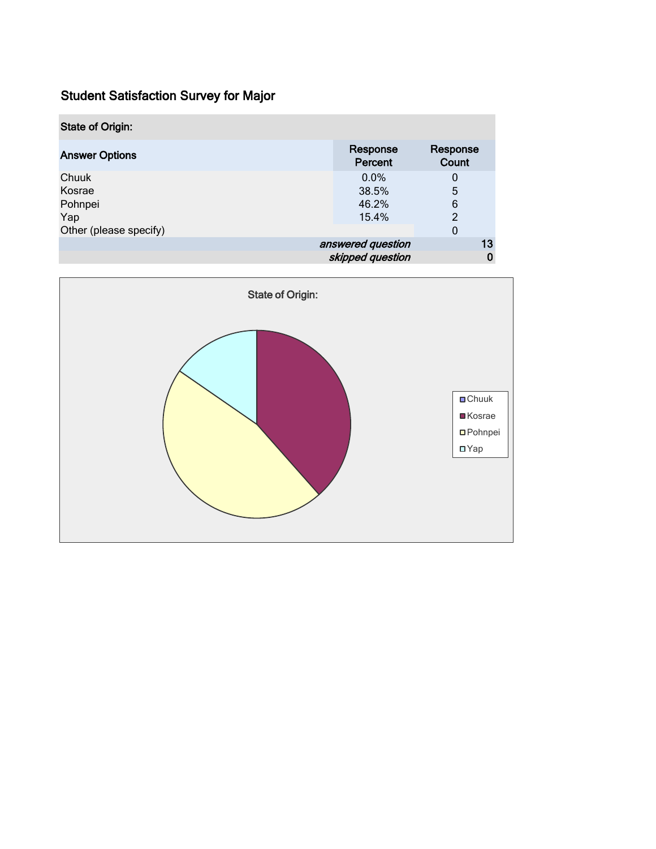| <b>State of Origin:</b> |                     |                   |
|-------------------------|---------------------|-------------------|
| <b>Answer Options</b>   | Response<br>Percent | Response<br>Count |
| Chuuk                   | $0.0\%$             | 0                 |
| Kosrae                  | 38.5%               | 5                 |
| Pohnpei                 | 46.2%               | 6                 |
| Yap                     | 15.4%               | 2                 |
| Other (please specify)  |                     | 0                 |
|                         | answered question   | 13                |
|                         | skipped question    |                   |